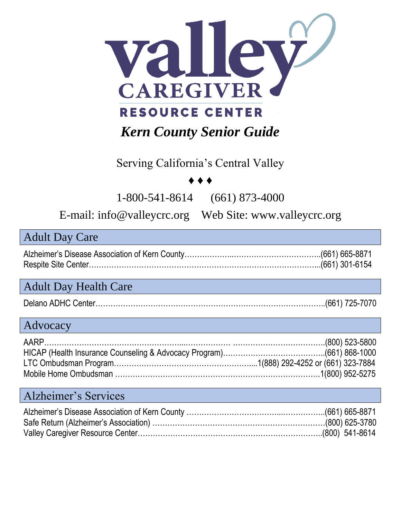

#### Serving California's Central Valley

#### ♦ ♦ ♦

1-800-541-8614 (661) 873-4000

E-mail: info@valleycrc.org Web Site: www.valleycrc.org

#### Adult Day Care

#### Adult Day Health Care

|--|

#### Advocacy

#### Alzheimer's Services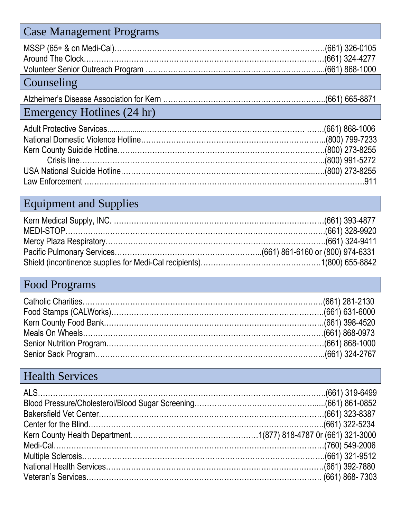| <b>Case Management Programs</b> |  |
|---------------------------------|--|
|                                 |  |
|                                 |  |
|                                 |  |
| Counseling                      |  |
|                                 |  |
| Emergency Hotlines (24 hr)      |  |
|                                 |  |
|                                 |  |
|                                 |  |
|                                 |  |
|                                 |  |

## Equipment and Supplies

Law Enforcement ………………………………………………………………………………………………….911

## Food Programs

### Health Services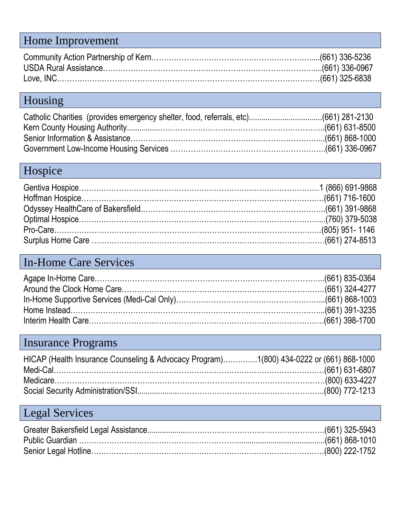## Home Improvement

## Housing

## Hospice

#### In-Home Care Services

## Insurance Programs

| HICAP (Health Insurance Counseling & Advocacy Program)1(800) 434-0222 or (661) 868-1000 |  |
|-----------------------------------------------------------------------------------------|--|
|                                                                                         |  |
|                                                                                         |  |
|                                                                                         |  |

# Legal Services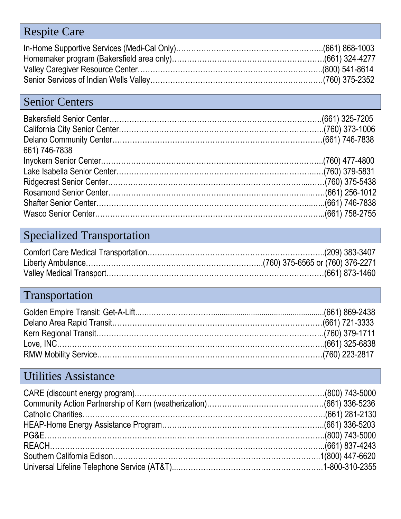### Respite Care

## Senior Centers

| 661) 746-7838 |  |
|---------------|--|
|               |  |
|               |  |
|               |  |
|               |  |
|               |  |
|               |  |

## Specialized Transportation

## Transportation

### Utilities Assistance